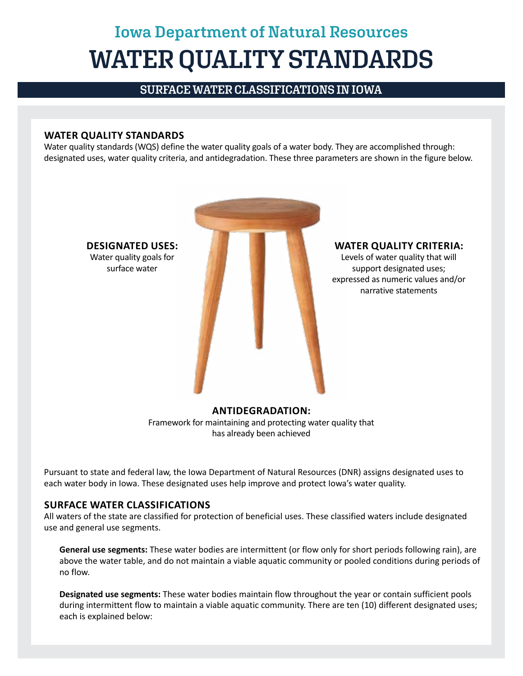## **Iowa Department of Natural Resources WATER QUALITY STANDARDS**

**SURFACE WATER CLASSIFICATIONS IN IOWA**

## **WATER QUALITY STANDARDS**

Water quality standards (WQS) define the water quality goals of a water body. They are accomplished through: designated uses, water quality criteria, and antidegradation. These three parameters are shown in the figure below.



has already been achieved

Pursuant to state and federal law, the Iowa Department of Natural Resources (DNR) assigns designated uses to each water body in Iowa. These designated uses help improve and protect Iowa's water quality.

## **SURFACE WATER CLASSIFICATIONS**

All waters of the state are classified for protection of beneficial uses. These classified waters include designated use and general use segments.

**General use segments:** These water bodies are intermittent (or flow only for short periods following rain), are above the water table, and do not maintain a viable aquatic community or pooled conditions during periods of no flow.

**Designated use segments:** These water bodies maintain flow throughout the year or contain sufficient pools during intermittent flow to maintain a viable aquatic community. There are ten (10) different designated uses; each is explained below: